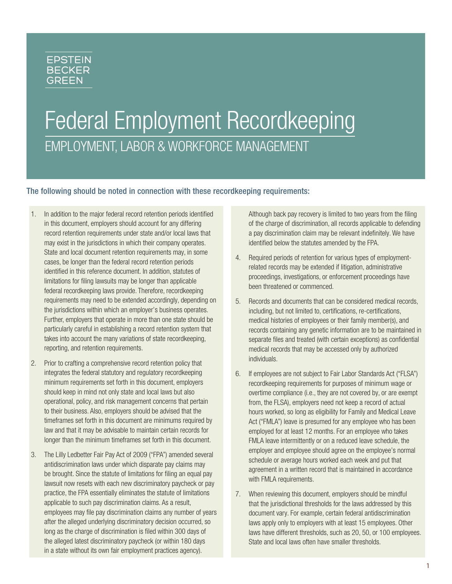

# Federal Employment Recordkeeping EMPLOYMENT, LABOR & WORKFORCE MANAGEMENT

### The following should be noted in connection with these recordkeeping requirements:

- 1. In addition to the major federal record retention periods identified in this document, employers should account for any differing record retention requirements under state and/or local laws that may exist in the jurisdictions in which their company operates. State and local document retention requirements may, in some cases, be longer than the federal record retention periods identified in this reference document. In addition, statutes of limitations for filing lawsuits may be longer than applicable federal recordkeeping laws provide. Therefore, recordkeeping requirements may need to be extended accordingly, depending on the jurisdictions within which an employer's business operates. Further, employers that operate in more than one state should be particularly careful in establishing a record retention system that takes into account the many variations of state recordkeeping, reporting, and retention requirements.
- 2. Prior to crafting a comprehensive record retention policy that integrates the federal statutory and regulatory recordkeeping minimum requirements set forth in this document, employers should keep in mind not only state and local laws but also operational, policy, and risk management concerns that pertain to their business. Also, employers should be advised that the timeframes set forth in this document are minimums required by law and that it may be advisable to maintain certain records for longer than the minimum timeframes set forth in this document.
- 3. The Lilly Ledbetter Fair Pay Act of 2009 ("FPA") amended several antidiscrimination laws under which disparate pay claims may be brought. Since the statute of limitations for filing an equal pay lawsuit now resets with each new discriminatory paycheck or pay practice, the FPA essentially eliminates the statute of limitations applicable to such pay discrimination claims. As a result, employees may file pay discrimination claims any number of years after the alleged underlying discriminatory decision occurred, so long as the charge of discrimination is filed within 300 days of the alleged latest discriminatory paycheck (or within 180 days in a state without its own fair employment practices agency).

Although back pay recovery is limited to two years from the filing of the charge of discrimination, all records applicable to defending a pay discrimination claim may be relevant indefinitely. We have identified below the statutes amended by the FPA.

- 4. Required periods of retention for various types of employmentrelated records may be extended if litigation, administrative proceedings, investigations, or enforcement proceedings have been threatened or commenced.
- 5. Records and documents that can be considered medical records, including, but not limited to, certifications, re-certifications, medical histories of employees or their family member(s), and records containing any genetic information are to be maintained in separate files and treated (with certain exceptions) as confidential medical records that may be accessed only by authorized individuals.
- 6. If employees are not subject to Fair Labor Standards Act ("FLSA") recordkeeping requirements for purposes of minimum wage or overtime compliance (i.e., they are not covered by, or are exempt from, the FLSA), employers need not keep a record of actual hours worked, so long as eligibility for Family and Medical Leave Act ("FMLA") leave is presumed for any employee who has been employed for at least 12 months. For an employee who takes FMLA leave intermittently or on a reduced leave schedule, the employer and employee should agree on the employee's normal schedule or average hours worked each week and put that agreement in a written record that is maintained in accordance with FMLA requirements.
- 7. When reviewing this document, employers should be mindful that the jurisdictional thresholds for the laws addressed by this document vary. For example, certain federal antidiscrimination laws apply only to employers with at least 15 employees. Other laws have different thresholds, such as 20, 50, or 100 employees. State and local laws often have smaller thresholds.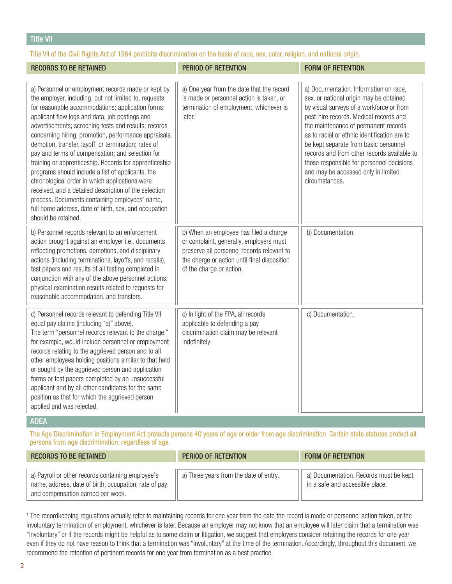Title VII

Title VII of the Civil Rights Act of 1964 prohibits discrimination on the basis of race, sex, color, religion, and national origin.

| <b>RECORDS TO BE RETAINED</b>                                                                                                                                                                                                                                                                                                                                                                                                                                                                                                                                                                                                                                                                                                                                                        | <b>PERIOD OF RETENTION</b>                                                                                                                                                                                  | <b>FORM OF RETENTION</b>                                                                                                                                                                                                                                                                                                                                                                                                                                      |
|--------------------------------------------------------------------------------------------------------------------------------------------------------------------------------------------------------------------------------------------------------------------------------------------------------------------------------------------------------------------------------------------------------------------------------------------------------------------------------------------------------------------------------------------------------------------------------------------------------------------------------------------------------------------------------------------------------------------------------------------------------------------------------------|-------------------------------------------------------------------------------------------------------------------------------------------------------------------------------------------------------------|---------------------------------------------------------------------------------------------------------------------------------------------------------------------------------------------------------------------------------------------------------------------------------------------------------------------------------------------------------------------------------------------------------------------------------------------------------------|
| a) Personnel or employment records made or kept by<br>the employer, including, but not limited to, requests<br>for reasonable accommodations; application forms;<br>applicant flow logs and data; job postings and<br>advertisements; screening tests and results; records<br>concerning hiring, promotion, performance appraisals,<br>demotion, transfer, layoff, or termination; rates of<br>pay and terms of compensation; and selection for<br>training or apprenticeship. Records for apprenticeship<br>programs should include a list of applicants, the<br>chronological order in which applications were<br>received, and a detailed description of the selection<br>process. Documents containing employees' name,<br>full home address, date of birth, sex, and occupation | a) One year from the date that the record<br>is made or personnel action is taken, or<br>termination of employment, whichever is<br>later. <sup>1</sup>                                                     | a) Documentation. Information on race,<br>sex, or national origin may be obtained<br>by visual surveys of a workforce or from<br>post-hire records. Medical records and<br>the maintenance of permanent records<br>as to racial or ethnic identification are to<br>be kept separate from basic personnel<br>records and from other records available to<br>those responsible for personnel decisions<br>and may be accessed only in limited<br>circumstances. |
| should be retained.<br>b) Personnel records relevant to an enforcement<br>action brought against an employer i.e., documents<br>reflecting promotions, demotions, and disciplinary<br>actions (including terminations, layoffs, and recalls),<br>test papers and results of all testing completed in<br>conjunction with any of the above personnel actions,<br>physical examination results related to requests for<br>reasonable accommodation, and transfers.                                                                                                                                                                                                                                                                                                                     | b) When an employee has filed a charge<br>or complaint, generally, employers must<br>preserve all personnel records relevant to<br>the charge or action until final disposition<br>of the charge or action. | b) Documentation.                                                                                                                                                                                                                                                                                                                                                                                                                                             |
| c) Personnel records relevant to defending Title VII<br>equal pay claims (including "a)" above).<br>The term "personnel records relevant to the charge,"<br>for example, would include personnel or employment<br>records relating to the aggrieved person and to all<br>other employees holding positions similar to that held<br>or sought by the aggrieved person and application<br>forms or test papers completed by an unsuccessful<br>applicant and by all other candidates for the same<br>position as that for which the aggrieved person<br>applied and was rejected.                                                                                                                                                                                                      | c) In light of the FPA, all records<br>applicable to defending a pay<br>discrimination claim may be relevant<br>indefinitely.                                                                               | c) Documentation.                                                                                                                                                                                                                                                                                                                                                                                                                                             |

### ADEA

The Age Discrimination in Employment Act protects persons 40 years of age or older from age discrimination. Certain state statutes protect all persons from age discrimination, regardless of age.

| <b>RECORDS TO BE RETAINED</b>                                                                                                                    | <b>PERIOD OF RETENTION</b>             | <b>FORM OF RETENTION</b>                                                  |
|--------------------------------------------------------------------------------------------------------------------------------------------------|----------------------------------------|---------------------------------------------------------------------------|
|                                                                                                                                                  |                                        |                                                                           |
| a) Payroll or other records containing employee's<br>name, address, date of birth, occupation, rate of pay,<br>and compensation earned per week. | a) Three years from the date of entry. | a) Documentation. Records must be kept<br>in a safe and accessible place. |

1 The recordkeeping regulations actually refer to maintaining records for one year from the date the record is made or personnel action taken, or the involuntary termination of employment, whichever is later. Because an employer may not know that an employee will later claim that a termination was "involuntary" or if the records might be helpful as to some claim or litigation, we suggest that employers consider retaining the records for one year even if they do not have reason to think that a termination was "involuntary" at the time of the termination. Accordingly, throughout this document, we recommend the retention of pertinent records for one year from termination as a best practice.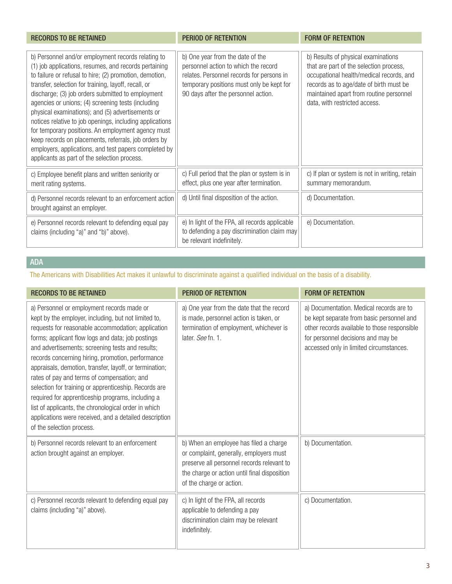| <b>RECORDS TO BE RETAINED</b>                                                                                                                                                                                                                                                                                                                                                                                                                                                                                                                                                                                                                                                     | <b>PERIOD OF RETENTION</b>                                                                                                                                                                                | <b>FORM OF RETENTION</b>                                                                                                                                                                                                                          |
|-----------------------------------------------------------------------------------------------------------------------------------------------------------------------------------------------------------------------------------------------------------------------------------------------------------------------------------------------------------------------------------------------------------------------------------------------------------------------------------------------------------------------------------------------------------------------------------------------------------------------------------------------------------------------------------|-----------------------------------------------------------------------------------------------------------------------------------------------------------------------------------------------------------|---------------------------------------------------------------------------------------------------------------------------------------------------------------------------------------------------------------------------------------------------|
| b) Personnel and/or employment records relating to<br>(1) job applications, resumes, and records pertaining<br>to failure or refusal to hire; (2) promotion, demotion,<br>transfer, selection for training, layoff, recall, or<br>discharge; (3) job orders submitted to employment<br>agencies or unions; (4) screening tests (including<br>physical examinations); and (5) advertisements or<br>notices relative to job openings, including applications<br>for temporary positions. An employment agency must<br>keep records on placements, referrals, job orders by<br>employers, applications, and test papers completed by<br>applicants as part of the selection process. | b) One year from the date of the<br>personnel action to which the record<br>relates. Personnel records for persons in<br>temporary positions must only be kept for<br>90 days after the personnel action. | b) Results of physical examinations<br>that are part of the selection process,<br>occupational health/medical records, and<br>records as to age/date of birth must be<br>maintained apart from routine personnel<br>data, with restricted access. |
| c) Employee benefit plans and written seniority or<br>merit rating systems.                                                                                                                                                                                                                                                                                                                                                                                                                                                                                                                                                                                                       | c) Full period that the plan or system is in<br>effect, plus one year after termination.                                                                                                                  | c) If plan or system is not in writing, retain<br>summary memorandum.                                                                                                                                                                             |
| d) Personnel records relevant to an enforcement action<br>brought against an employer.                                                                                                                                                                                                                                                                                                                                                                                                                                                                                                                                                                                            | d) Until final disposition of the action.                                                                                                                                                                 | d) Documentation.                                                                                                                                                                                                                                 |
| e) Personnel records relevant to defending equal pay<br>claims (including "a)" and "b)" above).                                                                                                                                                                                                                                                                                                                                                                                                                                                                                                                                                                                   | e) In light of the FPA, all records applicable<br>to defending a pay discrimination claim may<br>be relevant indefinitely.                                                                                | e) Documentation.                                                                                                                                                                                                                                 |

# ADA

The Americans with Disabilities Act makes it unlawful to discriminate against a qualified individual on the basis of a disability.

| <b>RECORDS TO BE RETAINED</b>                                                                                                                                                                                                                                                                                                                                                                                                                                                                                                                                                                                                                                                                 | <b>PERIOD OF RETENTION</b>                                                                                                                                                                                  | <b>FORM OF RETENTION</b>                                                                                                                                                                                               |
|-----------------------------------------------------------------------------------------------------------------------------------------------------------------------------------------------------------------------------------------------------------------------------------------------------------------------------------------------------------------------------------------------------------------------------------------------------------------------------------------------------------------------------------------------------------------------------------------------------------------------------------------------------------------------------------------------|-------------------------------------------------------------------------------------------------------------------------------------------------------------------------------------------------------------|------------------------------------------------------------------------------------------------------------------------------------------------------------------------------------------------------------------------|
| a) Personnel or employment records made or<br>kept by the employer, including, but not limited to,<br>requests for reasonable accommodation; application<br>forms; applicant flow logs and data; job postings<br>and advertisements; screening tests and results;<br>records concerning hiring, promotion, performance<br>appraisals, demotion, transfer, layoff, or termination;<br>rates of pay and terms of compensation; and<br>selection for training or apprenticeship. Records are<br>required for apprenticeship programs, including a<br>list of applicants, the chronological order in which<br>applications were received, and a detailed description<br>of the selection process. | a) One year from the date that the record<br>is made, personnel action is taken, or<br>termination of employment, whichever is<br>later. See fn. 1.                                                         | a) Documentation. Medical records are to<br>be kept separate from basic personnel and<br>other records available to those responsible<br>for personnel decisions and may be<br>accessed only in limited circumstances. |
| b) Personnel records relevant to an enforcement<br>action brought against an employer.                                                                                                                                                                                                                                                                                                                                                                                                                                                                                                                                                                                                        | b) When an employee has filed a charge<br>or complaint, generally, employers must<br>preserve all personnel records relevant to<br>the charge or action until final disposition<br>of the charge or action. | b) Documentation.                                                                                                                                                                                                      |
| c) Personnel records relevant to defending equal pay<br>claims (including "a)" above).                                                                                                                                                                                                                                                                                                                                                                                                                                                                                                                                                                                                        | c) In light of the FPA, all records<br>applicable to defending a pay<br>discrimination claim may be relevant<br>indefinitely.                                                                               | c) Documentation.                                                                                                                                                                                                      |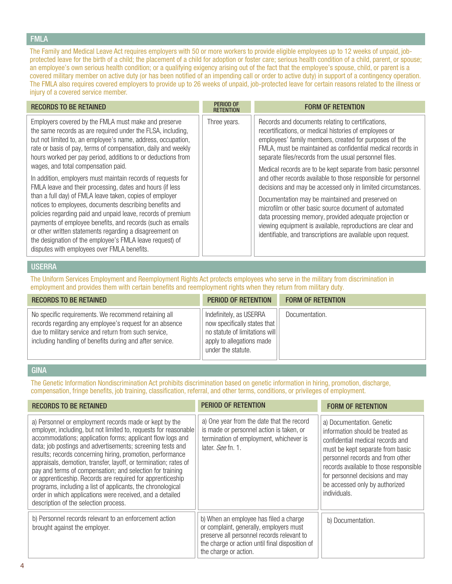### FMLA

The Family and Medical Leave Act requires employers with 50 or more workers to provide eligible employees up to 12 weeks of unpaid, jobprotected leave for the birth of a child; the placement of a child for adoption or foster care; serious health condition of a child, parent, or spouse; an employee's own serious health condition; or a qualifying exigency arising out of the fact that the employee's spouse, child, or parent is a covered military member on active duty (or has been notified of an impending call or order to active duty) in support of a contingency operation. The FMLA also requires covered employers to provide up to 26 weeks of unpaid, job-protected leave for certain reasons related to the illness or injury of a covered service member.

| <b>RECORDS TO BE RETAINED</b>                                                                                                                                                                                                                                                                                                                                                                                                                                                                                                                                                               | PERIOD OF<br><b>RETENTION</b> | <b>FORM OF RETENTION</b>                                                                                                                                                                                                                                                                                                                                                                                                                                                                              |
|---------------------------------------------------------------------------------------------------------------------------------------------------------------------------------------------------------------------------------------------------------------------------------------------------------------------------------------------------------------------------------------------------------------------------------------------------------------------------------------------------------------------------------------------------------------------------------------------|-------------------------------|-------------------------------------------------------------------------------------------------------------------------------------------------------------------------------------------------------------------------------------------------------------------------------------------------------------------------------------------------------------------------------------------------------------------------------------------------------------------------------------------------------|
| Employers covered by the FMLA must make and preserve<br>the same records as are required under the FLSA, including,<br>but not limited to, an employee's name, address, occupation,<br>rate or basis of pay, terms of compensation, daily and weekly<br>hours worked per pay period, additions to or deductions from                                                                                                                                                                                                                                                                        | Three years.                  | Records and documents relating to certifications,<br>recertifications, or medical histories of employees or<br>employees' family members, created for purposes of the<br>FMLA, must be maintained as confidential medical records in<br>separate files/records from the usual personnel files.                                                                                                                                                                                                        |
| wages, and total compensation paid.<br>In addition, employers must maintain records of requests for<br>FMLA leave and their processing, dates and hours (if less<br>than a full day) of FMLA leave taken, copies of employer<br>notices to employees, documents describing benefits and<br>policies regarding paid and unpaid leave, records of premium<br>payments of employee benefits, and records (such as emails<br>or other written statements regarding a disagreement on<br>the designation of the employee's FMLA leave request) of<br>disputes with employees over FMLA benefits. |                               | Medical records are to be kept separate from basic personnel<br>and other records available to those responsible for personnel<br>decisions and may be accessed only in limited circumstances.<br>Documentation may be maintained and preserved on<br>microfilm or other basic source document of automated<br>data processing memory, provided adequate projection or<br>viewing equipment is available, reproductions are clear and<br>identifiable, and transcriptions are available upon request. |

### USERRA

The Uniform Services Employment and Reemployment Rights Act protects employees who serve in the military from discrimination in employment and provides them with certain benefits and reemployment rights when they return from military duty.

| <b>RECORDS TO BE RETAINED</b>                                                                                                                                                                                                        | <b>PERIOD OF RETENTION</b>                                                                                                                   | <b>FORM OF RETENTION</b> |
|--------------------------------------------------------------------------------------------------------------------------------------------------------------------------------------------------------------------------------------|----------------------------------------------------------------------------------------------------------------------------------------------|--------------------------|
| No specific requirements. We recommend retaining all<br>records regarding any employee's request for an absence<br>due to military service and return from such service,<br>including handling of benefits during and after service. | Indefinitely, as USERRA<br>now specifically states that<br>no statute of limitations will<br>apply to allegations made<br>under the statute. | Documentation.           |

### **GINA**

The Genetic Information Nondiscrimination Act prohibits discrimination based on genetic information in hiring, promotion, discharge, compensation, fringe benefits, job training, classification, referral, and other terms, conditions, or privileges of employment.

| <b>RECORDS TO BE RETAINED</b>                                                                                                                                                                                                                                                                                                                                                                                                                                                                                                                                                                                                                                                            | <b>PERIOD OF RETENTION</b>                                                                                                                                                                                  | <b>FORM OF RETENTION</b>                                                                                                                                                                                                                                                                                 |
|------------------------------------------------------------------------------------------------------------------------------------------------------------------------------------------------------------------------------------------------------------------------------------------------------------------------------------------------------------------------------------------------------------------------------------------------------------------------------------------------------------------------------------------------------------------------------------------------------------------------------------------------------------------------------------------|-------------------------------------------------------------------------------------------------------------------------------------------------------------------------------------------------------------|----------------------------------------------------------------------------------------------------------------------------------------------------------------------------------------------------------------------------------------------------------------------------------------------------------|
| a) Personnel or employment records made or kept by the<br>employer, including, but not limited to, requests for reasonable<br>accommodations; application forms; applicant flow logs and<br>data; job postings and advertisements; screening tests and<br>results; records concerning hiring, promotion, performance<br>appraisals, demotion, transfer, layoff, or termination; rates of<br>pay and terms of compensation; and selection for training<br>or apprenticeship. Records are required for apprenticeship<br>programs, including a list of applicants, the chronological<br>order in which applications were received, and a detailed<br>description of the selection process. | a) One year from the date that the record<br>is made or personnel action is taken, or<br>termination of employment, whichever is<br>later. See fn. 1.                                                       | a) Documentation. Genetic<br>information should be treated as<br>confidential medical records and<br>must be kept separate from basic<br>personnel records and from other<br>records available to those responsible<br>for personnel decisions and may<br>be accessed only by authorized<br>individuals. |
| b) Personnel records relevant to an enforcement action<br>brought against the employer.                                                                                                                                                                                                                                                                                                                                                                                                                                                                                                                                                                                                  | b) When an employee has filed a charge<br>or complaint, generally, employers must<br>preserve all personnel records relevant to<br>the charge or action until final disposition of<br>the charge or action. | b) Documentation.                                                                                                                                                                                                                                                                                        |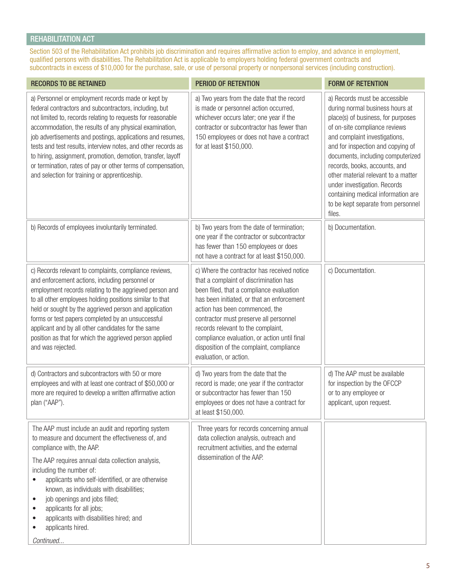# REHABILITATION ACT

Section 503 of the Rehabilitation Act prohibits job discrimination and requires affirmative action to employ, and advance in employment, qualified persons with disabilities. The Rehabilitation Act is applicable to employers holding federal government contracts and subcontracts in excess of \$10,000 for the purchase, sale, or use of personal property or nonpersonal services (including construction).

| <b>RECORDS TO BE RETAINED</b>                                                                                                                                                                                                                                                                                                                                                                                                                                                                                                                          | <b>PERIOD OF RETENTION</b>                                                                                                                                                                                                                                                                                                                                                                                              | <b>FORM OF RETENTION</b>                                                                                                                                                                                                                                                                                                                                                                                                                         |
|--------------------------------------------------------------------------------------------------------------------------------------------------------------------------------------------------------------------------------------------------------------------------------------------------------------------------------------------------------------------------------------------------------------------------------------------------------------------------------------------------------------------------------------------------------|-------------------------------------------------------------------------------------------------------------------------------------------------------------------------------------------------------------------------------------------------------------------------------------------------------------------------------------------------------------------------------------------------------------------------|--------------------------------------------------------------------------------------------------------------------------------------------------------------------------------------------------------------------------------------------------------------------------------------------------------------------------------------------------------------------------------------------------------------------------------------------------|
| a) Personnel or employment records made or kept by<br>federal contractors and subcontractors, including, but<br>not limited to, records relating to requests for reasonable<br>accommodation, the results of any physical examination,<br>job advertisements and postings, applications and resumes,<br>tests and test results, interview notes, and other records as<br>to hiring, assignment, promotion, demotion, transfer, layoff<br>or termination, rates of pay or other terms of compensation,<br>and selection for training or apprenticeship. | a) Two years from the date that the record<br>is made or personnel action occurred,<br>whichever occurs later; one year if the<br>contractor or subcontractor has fewer than<br>150 employees or does not have a contract<br>for at least \$150,000.                                                                                                                                                                    | a) Records must be accessible<br>during normal business hours at<br>place(s) of business, for purposes<br>of on-site compliance reviews<br>and complaint investigations,<br>and for inspection and copying of<br>documents, including computerized<br>records, books, accounts, and<br>other material relevant to a matter<br>under investigation. Records<br>containing medical information are<br>to be kept separate from personnel<br>files. |
| b) Records of employees involuntarily terminated.                                                                                                                                                                                                                                                                                                                                                                                                                                                                                                      | b) Two years from the date of termination;<br>one year if the contractor or subcontractor<br>has fewer than 150 employees or does<br>not have a contract for at least \$150,000.                                                                                                                                                                                                                                        | b) Documentation.                                                                                                                                                                                                                                                                                                                                                                                                                                |
| c) Records relevant to complaints, compliance reviews,<br>and enforcement actions, including personnel or<br>employment records relating to the aggrieved person and<br>to all other employees holding positions similar to that<br>held or sought by the aggrieved person and application<br>forms or test papers completed by an unsuccessful<br>applicant and by all other candidates for the same<br>position as that for which the aggrieved person applied<br>and was rejected.                                                                  | c) Where the contractor has received notice<br>that a complaint of discrimination has<br>been filed, that a compliance evaluation<br>has been initiated, or that an enforcement<br>action has been commenced, the<br>contractor must preserve all personnel<br>records relevant to the complaint,<br>compliance evaluation, or action until final<br>disposition of the complaint, compliance<br>evaluation, or action. | c) Documentation.                                                                                                                                                                                                                                                                                                                                                                                                                                |
| d) Contractors and subcontractors with 50 or more<br>employees and with at least one contract of \$50,000 or<br>more are required to develop a written affirmative action<br>plan ("AAP").                                                                                                                                                                                                                                                                                                                                                             | d) Two years from the date that the<br>record is made; one year if the contractor<br>or subcontractor has fewer than 150<br>employees or does not have a contract for<br>at least \$150,000.                                                                                                                                                                                                                            | d) The AAP must be available<br>for inspection by the OFCCP<br>or to any employee or<br>applicant, upon request.                                                                                                                                                                                                                                                                                                                                 |
| The AAP must include an audit and reporting system<br>to measure and document the effectiveness of, and<br>compliance with, the AAP.<br>The AAP requires annual data collection analysis,<br>including the number of:<br>applicants who self-identified, or are otherwise<br>$\bullet$<br>known, as individuals with disabilities;<br>job openings and jobs filled;<br>$\bullet$<br>applicants for all jobs;<br>$\bullet$<br>applicants with disabilities hired; and<br>$\bullet$<br>applicants hired.<br>$\bullet$<br>Continued                       | Three years for records concerning annual<br>data collection analysis, outreach and<br>recruitment activities, and the external<br>dissemination of the AAP.                                                                                                                                                                                                                                                            |                                                                                                                                                                                                                                                                                                                                                                                                                                                  |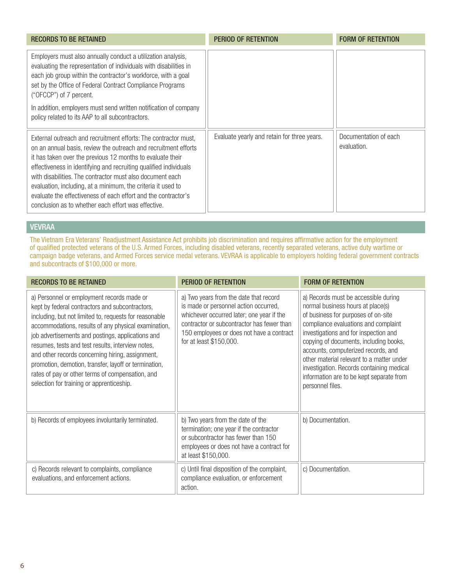| <b>RECORDS TO BE RETAINED</b>                                                                                                                                                                                                                                                                                                                                                                                                                                                                                               | <b>PERIOD OF RETENTION</b>                  | <b>FORM OF RETENTION</b>             |
|-----------------------------------------------------------------------------------------------------------------------------------------------------------------------------------------------------------------------------------------------------------------------------------------------------------------------------------------------------------------------------------------------------------------------------------------------------------------------------------------------------------------------------|---------------------------------------------|--------------------------------------|
| Employers must also annually conduct a utilization analysis,<br>evaluating the representation of individuals with disabilities in<br>each job group within the contractor's workforce, with a goal<br>set by the Office of Federal Contract Compliance Programs<br>("OFCCP") of 7 percent.                                                                                                                                                                                                                                  |                                             |                                      |
| In addition, employers must send written notification of company<br>policy related to its AAP to all subcontractors.                                                                                                                                                                                                                                                                                                                                                                                                        |                                             |                                      |
| External outreach and recruitment efforts: The contractor must,<br>on an annual basis, review the outreach and recruitment efforts<br>it has taken over the previous 12 months to evaluate their<br>effectiveness in identifying and recruiting qualified individuals<br>with disabilities. The contractor must also document each<br>evaluation, including, at a minimum, the criteria it used to<br>evaluate the effectiveness of each effort and the contractor's<br>conclusion as to whether each effort was effective. | Evaluate yearly and retain for three years. | Documentation of each<br>evaluation. |

### VEVRAA

The Vietnam Era Veterans' Readjustment Assistance Act prohibits job discrimination and requires affirmative action for the employment of qualified protected veterans of the U.S. Armed Forces, including disabled veterans, recently separated veterans, active duty wartime or campaign badge veterans, and Armed Forces service medal veterans. VEVRAA is applicable to employers holding federal government contracts and subcontracts of \$100,000 or more.

| <b>RECORDS TO BE RETAINED</b>                                                                                                                                                                                                                                                                                                                                                                                                                                                                                                           | <b>PERIOD OF RETENTION</b>                                                                                                                                                                                                                         | <b>FORM OF RETENTION</b>                                                                                                                                                                                                                                                                                                                                                                                                                     |
|-----------------------------------------------------------------------------------------------------------------------------------------------------------------------------------------------------------------------------------------------------------------------------------------------------------------------------------------------------------------------------------------------------------------------------------------------------------------------------------------------------------------------------------------|----------------------------------------------------------------------------------------------------------------------------------------------------------------------------------------------------------------------------------------------------|----------------------------------------------------------------------------------------------------------------------------------------------------------------------------------------------------------------------------------------------------------------------------------------------------------------------------------------------------------------------------------------------------------------------------------------------|
| a) Personnel or employment records made or<br>kept by federal contractors and subcontractors,<br>including, but not limited to, requests for reasonable<br>accommodations, results of any physical examination,<br>job advertisements and postings, applications and<br>resumes, tests and test results, interview notes,<br>and other records concerning hiring, assignment,<br>promotion, demotion, transfer, layoff or termination,<br>rates of pay or other terms of compensation, and<br>selection for training or apprenticeship. | a) Two years from the date that record<br>is made or personnel action occurred,<br>whichever occurred later; one year if the<br>contractor or subcontractor has fewer than<br>150 employees or does not have a contract<br>for at least \$150,000. | a) Records must be accessible during<br>normal business hours at place(s)<br>of business for purposes of on-site<br>compliance evaluations and complaint<br>investigations and for inspection and<br>copying of documents, including books,<br>accounts, computerized records, and<br>other material relevant to a matter under<br>investigation. Records containing medical<br>information are to be kept separate from<br>personnel files. |
| b) Records of employees involuntarily terminated.                                                                                                                                                                                                                                                                                                                                                                                                                                                                                       | b) Two years from the date of the<br>termination; one year if the contractor<br>or subcontractor has fewer than 150<br>employees or does not have a contract for<br>at least \$150,000.                                                            | b) Documentation.                                                                                                                                                                                                                                                                                                                                                                                                                            |
| c) Records relevant to complaints, compliance<br>evaluations, and enforcement actions.                                                                                                                                                                                                                                                                                                                                                                                                                                                  | c) Until final disposition of the complaint,<br>compliance evaluation, or enforcement<br>action.                                                                                                                                                   | c) Documentation.                                                                                                                                                                                                                                                                                                                                                                                                                            |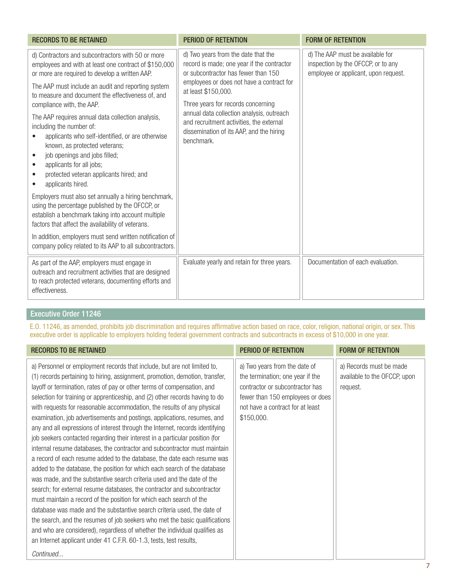| <b>RECORDS TO BE RETAINED</b>                                                                                                                                                                                                                                                                                                                                                                                                                                                                                                                                                                                                                                                                                                                                                                                                                                                                                                                         | <b>PERIOD OF RETENTION</b>                                                                                                                                                                                                                                                                                                                                                            | <b>FORM OF RETENTION</b>                                                                                       |
|-------------------------------------------------------------------------------------------------------------------------------------------------------------------------------------------------------------------------------------------------------------------------------------------------------------------------------------------------------------------------------------------------------------------------------------------------------------------------------------------------------------------------------------------------------------------------------------------------------------------------------------------------------------------------------------------------------------------------------------------------------------------------------------------------------------------------------------------------------------------------------------------------------------------------------------------------------|---------------------------------------------------------------------------------------------------------------------------------------------------------------------------------------------------------------------------------------------------------------------------------------------------------------------------------------------------------------------------------------|----------------------------------------------------------------------------------------------------------------|
| d) Contractors and subcontractors with 50 or more<br>employees and with at least one contract of \$150,000<br>or more are required to develop a written AAP.<br>The AAP must include an audit and reporting system<br>to measure and document the effectiveness of, and<br>compliance with, the AAP.<br>The AAP requires annual data collection analysis,<br>including the number of:<br>applicants who self-identified, or are otherwise<br>known, as protected veterans;<br>job openings and jobs filled;<br>applicants for all jobs;<br>protected veteran applicants hired; and<br>applicants hired.<br>Employers must also set annually a hiring benchmark,<br>using the percentage published by the OFCCP, or<br>establish a benchmark taking into account multiple<br>factors that affect the availability of veterans.<br>In addition, employers must send written notification of<br>company policy related to its AAP to all subcontractors. | d) Two years from the date that the<br>record is made; one year if the contractor<br>or subcontractor has fewer than 150<br>employees or does not have a contract for<br>at least \$150,000.<br>Three years for records concerning<br>annual data collection analysis, outreach<br>and recruitment activities, the external<br>dissemination of its AAP, and the hiring<br>benchmark. | d) The AAP must be available for<br>inspection by the OFCCP, or to any<br>employee or applicant, upon request. |
| As part of the AAP, employers must engage in<br>outreach and recruitment activities that are designed<br>to reach protected veterans, documenting efforts and<br>effectiveness.                                                                                                                                                                                                                                                                                                                                                                                                                                                                                                                                                                                                                                                                                                                                                                       | Evaluate yearly and retain for three years.                                                                                                                                                                                                                                                                                                                                           | Documentation of each evaluation.                                                                              |

# Executive Order 11246

E.O. 11246, as amended, prohibits job discrimination and requires affirmative action based on race, color, religion, national origin, or sex. This executive order is applicable to employers holding federal government contracts and subcontracts in excess of \$10,000 in one year.

| <b>RECORDS TO BE RETAINED</b>                                                                                                                                                                                                                                                                                                                                                                                                                                                                                                                                                                                                                                                                                                                                                                                                                                                                                                                                                                                                                                                                                                                                                                                                                                                                                                                                                                                              | <b>PERIOD OF RETENTION</b>                                                                                                                                                                 | <b>FORM OF RETENTION</b>                                            |
|----------------------------------------------------------------------------------------------------------------------------------------------------------------------------------------------------------------------------------------------------------------------------------------------------------------------------------------------------------------------------------------------------------------------------------------------------------------------------------------------------------------------------------------------------------------------------------------------------------------------------------------------------------------------------------------------------------------------------------------------------------------------------------------------------------------------------------------------------------------------------------------------------------------------------------------------------------------------------------------------------------------------------------------------------------------------------------------------------------------------------------------------------------------------------------------------------------------------------------------------------------------------------------------------------------------------------------------------------------------------------------------------------------------------------|--------------------------------------------------------------------------------------------------------------------------------------------------------------------------------------------|---------------------------------------------------------------------|
| a) Personnel or employment records that include, but are not limited to,<br>(1) records pertaining to hiring, assignment, promotion, demotion, transfer,<br>layoff or termination, rates of pay or other terms of compensation, and<br>selection for training or apprenticeship, and (2) other records having to do<br>with requests for reasonable accommodation, the results of any physical<br>examination, job advertisements and postings, applications, resumes, and<br>any and all expressions of interest through the Internet, records identifying<br>job seekers contacted regarding their interest in a particular position (for<br>internal resume databases, the contractor and subcontractor must maintain<br>a record of each resume added to the database, the date each resume was<br>added to the database, the position for which each search of the database<br>was made, and the substantive search criteria used and the date of the<br>search; for external resume databases, the contractor and subcontractor<br>must maintain a record of the position for which each search of the<br>database was made and the substantive search criteria used, the date of<br>the search, and the resumes of job seekers who met the basic qualifications<br>and who are considered), regardless of whether the individual qualifies as<br>an Internet applicant under 41 C.F.R. 60-1.3, tests, test results, | a) Two years from the date of<br>the termination; one year if the<br>contractor or subcontractor has<br>fewer than 150 employees or does<br>not have a contract for at least<br>\$150,000. | a) Records must be made<br>available to the OFCCP, upon<br>request. |
| Continued                                                                                                                                                                                                                                                                                                                                                                                                                                                                                                                                                                                                                                                                                                                                                                                                                                                                                                                                                                                                                                                                                                                                                                                                                                                                                                                                                                                                                  |                                                                                                                                                                                            |                                                                     |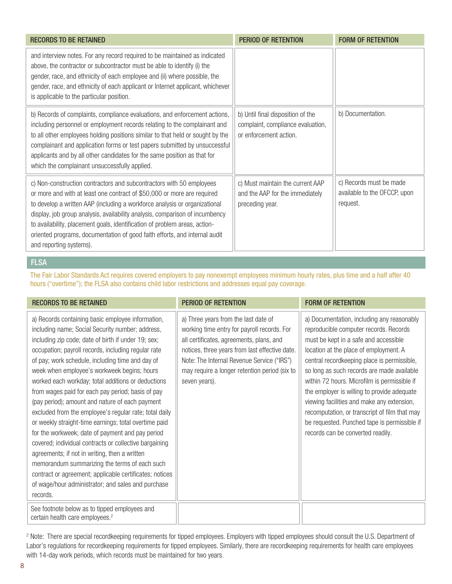| <b>RECORDS TO BE RETAINED</b>                                                                                                                                                                                                                                                                                                                                                                                                                                                                        | <b>PERIOD OF RETENTION</b>                                                                       | <b>FORM OF RETENTION</b>                                            |
|------------------------------------------------------------------------------------------------------------------------------------------------------------------------------------------------------------------------------------------------------------------------------------------------------------------------------------------------------------------------------------------------------------------------------------------------------------------------------------------------------|--------------------------------------------------------------------------------------------------|---------------------------------------------------------------------|
| and interview notes. For any record required to be maintained as indicated<br>above, the contractor or subcontractor must be able to identify (i) the<br>gender, race, and ethnicity of each employee and (ii) where possible, the<br>gender, race, and ethnicity of each applicant or Internet applicant, whichever<br>is applicable to the particular position.                                                                                                                                    |                                                                                                  |                                                                     |
| b) Records of complaints, compliance evaluations, and enforcement actions,<br>including personnel or employment records relating to the complainant and<br>to all other employees holding positions similar to that held or sought by the<br>complainant and application forms or test papers submitted by unsuccessful<br>applicants and by all other candidates for the same position as that for<br>which the complainant unsuccessfully applied.                                                 | b) Until final disposition of the<br>complaint, compliance evaluation,<br>or enforcement action. | b) Documentation.                                                   |
| c) Non-construction contractors and subcontractors with 50 employees<br>or more and with at least one contract of \$50,000 or more are required<br>to develop a written AAP (including a workforce analysis or organizational<br>display, job group analysis, availability analysis, comparison of incumbency<br>to availability, placement goals, identification of problem areas, action-<br>oriented programs, documentation of good faith efforts, and internal audit<br>and reporting systems). | c) Must maintain the current AAP<br>and the AAP for the immediately<br>preceding year.           | c) Records must be made<br>available to the OFCCP, upon<br>request. |

# FLSA

The Fair Labor Standards Act requires covered employers to pay nonexempt employees minimum hourly rates, plus time and a half after 40 hours ("overtime"); the FLSA also contains child labor restrictions and addresses equal pay coverage.

| <b>RECORDS TO BE RETAINED</b>                                                                                                                                                                                                                                                                                                                                                                                                                                                                                                                                                                                                                                                                                                                                                                                                                                                                                                                        | <b>PERIOD OF RETENTION</b>                                                                                                                                                                                                                                                                        | <b>FORM OF RETENTION</b>                                                                                                                                                                                                                                                                                                                                                                                                                                                                                                                                |
|------------------------------------------------------------------------------------------------------------------------------------------------------------------------------------------------------------------------------------------------------------------------------------------------------------------------------------------------------------------------------------------------------------------------------------------------------------------------------------------------------------------------------------------------------------------------------------------------------------------------------------------------------------------------------------------------------------------------------------------------------------------------------------------------------------------------------------------------------------------------------------------------------------------------------------------------------|---------------------------------------------------------------------------------------------------------------------------------------------------------------------------------------------------------------------------------------------------------------------------------------------------|---------------------------------------------------------------------------------------------------------------------------------------------------------------------------------------------------------------------------------------------------------------------------------------------------------------------------------------------------------------------------------------------------------------------------------------------------------------------------------------------------------------------------------------------------------|
| a) Records containing basic employee information,<br>including name; Social Security number; address,<br>including zip code; date of birth if under 19; sex;<br>occupation; payroll records, including regular rate<br>of pay; work schedule, including time and day of<br>week when employee's workweek begins; hours<br>worked each workday; total additions or deductions<br>from wages paid for each pay period; basis of pay<br>(pay period); amount and nature of each payment<br>excluded from the employee's regular rate; total daily<br>or weekly straight-time earnings; total overtime paid<br>for the workweek; date of payment and pay period<br>covered; individual contracts or collective bargaining<br>agreements; if not in writing, then a written<br>memorandum summarizing the terms of each such<br>contract or agreement; applicable certificates; notices<br>of wage/hour administrator; and sales and purchase<br>records. | a) Three years from the last date of<br>working time entry for payroll records. For<br>all certificates, agreements, plans, and<br>notices, three years from last effective date.<br>Note: The Internal Revenue Service ("IRS")<br>may require a longer retention period (six to<br>seven years). | a) Documentation, including any reasonably<br>reproducible computer records. Records<br>must be kept in a safe and accessible<br>location at the place of employment. A<br>central recordkeeping place is permissible,<br>so long as such records are made available<br>within 72 hours. Microfilm is permissible if<br>the employer is willing to provide adequate<br>viewing facilities and make any extension,<br>recomputation, or transcript of film that may<br>be requested. Punched tape is permissible if<br>records can be converted readily. |
| See footnote below as to tipped employees and<br>certain health care employees. <sup>2</sup>                                                                                                                                                                                                                                                                                                                                                                                                                                                                                                                                                                                                                                                                                                                                                                                                                                                         |                                                                                                                                                                                                                                                                                                   |                                                                                                                                                                                                                                                                                                                                                                                                                                                                                                                                                         |

<sup>2</sup> Note: There are special recordkeeping requirements for tipped employees. Employers with tipped employees should consult the U.S. Department of Labor's regulations for recordkeeping requirements for tipped employees. Similarly, there are recordkeeping requirements for health care employees with 14-day work periods, which records must be maintained for two years.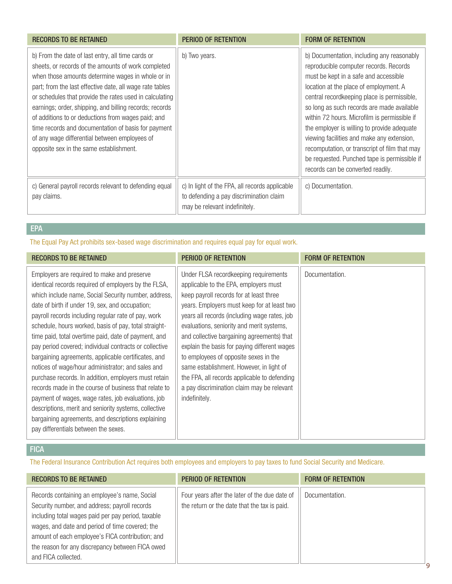| <b>RECORDS TO BE RETAINED</b>                                                                                                                                                                                                                                                                                                                                                                                                                                                                                                                            | <b>PERIOD OF RETENTION</b>                                                                                                 | <b>FORM OF RETENTION</b>                                                                                                                                                                                                                                                                                                                                                                                                                                                                                                                                |
|----------------------------------------------------------------------------------------------------------------------------------------------------------------------------------------------------------------------------------------------------------------------------------------------------------------------------------------------------------------------------------------------------------------------------------------------------------------------------------------------------------------------------------------------------------|----------------------------------------------------------------------------------------------------------------------------|---------------------------------------------------------------------------------------------------------------------------------------------------------------------------------------------------------------------------------------------------------------------------------------------------------------------------------------------------------------------------------------------------------------------------------------------------------------------------------------------------------------------------------------------------------|
| b) From the date of last entry, all time cards or<br>sheets, or records of the amounts of work completed<br>when those amounts determine wages in whole or in<br>part; from the last effective date, all wage rate tables<br>or schedules that provide the rates used in calculating<br>earnings; order, shipping, and billing records; records<br>of additions to or deductions from wages paid; and<br>time records and documentation of basis for payment<br>of any wage differential between employees of<br>opposite sex in the same establishment. | b) Two years.                                                                                                              | b) Documentation, including any reasonably<br>reproducible computer records. Records<br>must be kept in a safe and accessible<br>location at the place of employment. A<br>central recordkeeping place is permissible,<br>so long as such records are made available<br>within 72 hours. Microfilm is permissible if<br>the employer is willing to provide adequate<br>viewing facilities and make any extension,<br>recomputation, or transcript of film that may<br>be requested. Punched tape is permissible if<br>records can be converted readily. |
| c) General payroll records relevant to defending equal<br>pay claims.                                                                                                                                                                                                                                                                                                                                                                                                                                                                                    | c) In light of the FPA, all records applicable<br>to defending a pay discrimination claim<br>may be relevant indefinitely. | c) Documentation.                                                                                                                                                                                                                                                                                                                                                                                                                                                                                                                                       |

# EPA

# The Equal Pay Act prohibits sex-based wage discrimination and requires equal pay for equal work.

| <b>RECORDS TO BE RETAINED</b>                                                                                                                                                                                                                                                                                                                                                                                                                                                                                                                                                                                                                                                                                                                                                                                                                                                              | <b>PERIOD OF RETENTION</b>                                                                                                                                                                                                                                                                                                                                                                                                                                                                                                                                              | <b>FORM OF RETENTION</b> |
|--------------------------------------------------------------------------------------------------------------------------------------------------------------------------------------------------------------------------------------------------------------------------------------------------------------------------------------------------------------------------------------------------------------------------------------------------------------------------------------------------------------------------------------------------------------------------------------------------------------------------------------------------------------------------------------------------------------------------------------------------------------------------------------------------------------------------------------------------------------------------------------------|-------------------------------------------------------------------------------------------------------------------------------------------------------------------------------------------------------------------------------------------------------------------------------------------------------------------------------------------------------------------------------------------------------------------------------------------------------------------------------------------------------------------------------------------------------------------------|--------------------------|
| Employers are required to make and preserve<br>identical records required of employers by the FLSA,<br>which include name, Social Security number, address,<br>date of birth if under 19, sex, and occupation;<br>payroll records including regular rate of pay, work<br>schedule, hours worked, basis of pay, total straight-<br>time paid, total overtime paid, date of payment, and<br>pay period covered; individual contracts or collective<br>bargaining agreements, applicable certificates, and<br>notices of wage/hour administrator; and sales and<br>purchase records. In addition, employers must retain<br>records made in the course of business that relate to<br>payment of wages, wage rates, job evaluations, job<br>descriptions, merit and seniority systems, collective<br>bargaining agreements, and descriptions explaining<br>pay differentials between the sexes. | Under FLSA recordkeeping requirements<br>applicable to the EPA, employers must<br>keep payroll records for at least three<br>years. Employers must keep for at least two<br>years all records (including wage rates, job<br>evaluations, seniority and merit systems,<br>and collective bargaining agreements) that<br>explain the basis for paying different wages<br>to employees of opposite sexes in the<br>same establishment. However, in light of<br>the FPA, all records applicable to defending<br>a pay discrimination claim may be relevant<br>indefinitely. | Documentation.           |
|                                                                                                                                                                                                                                                                                                                                                                                                                                                                                                                                                                                                                                                                                                                                                                                                                                                                                            |                                                                                                                                                                                                                                                                                                                                                                                                                                                                                                                                                                         |                          |

# **FICA**

The Federal Insurance Contribution Act requires both employees and employers to pay taxes to fund Social Security and Medicare.

| <b>RECORDS TO BE RETAINED</b>                                                                                                                                                                                                                                                                                                          | <b>PERIOD OF RETENTION</b>                                                                    | <b>FORM OF RETENTION</b> |
|----------------------------------------------------------------------------------------------------------------------------------------------------------------------------------------------------------------------------------------------------------------------------------------------------------------------------------------|-----------------------------------------------------------------------------------------------|--------------------------|
| Records containing an employee's name, Social<br>Security number, and address; payroll records<br>including total wages paid per pay period, taxable<br>wages, and date and period of time covered; the<br>amount of each employee's FICA contribution; and<br>the reason for any discrepancy between FICA owed<br>and FICA collected. | Four years after the later of the due date of<br>the return or the date that the tax is paid. | Documentation.           |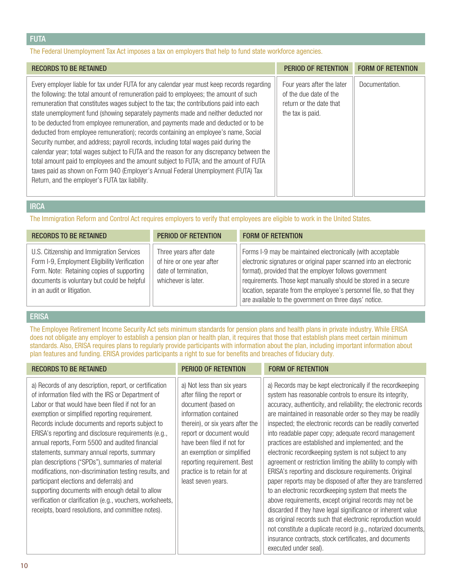#### The Federal Unemployment Tax Act imposes a tax on employers that help to fund state workforce agencies.

| <b>RECORDS TO BE RETAINED</b>                                                                                                                                                                                                                                                                                                                                                                                                                                                                                                                                                                                                                                                                                                                                                                                                                                                                                                                                            | <b>PERIOD OF RETENTION</b>                                                                          | <b>FORM OF RETENTION</b> |
|--------------------------------------------------------------------------------------------------------------------------------------------------------------------------------------------------------------------------------------------------------------------------------------------------------------------------------------------------------------------------------------------------------------------------------------------------------------------------------------------------------------------------------------------------------------------------------------------------------------------------------------------------------------------------------------------------------------------------------------------------------------------------------------------------------------------------------------------------------------------------------------------------------------------------------------------------------------------------|-----------------------------------------------------------------------------------------------------|--------------------------|
| Every employer liable for tax under FUTA for any calendar year must keep records regarding<br>the following: the total amount of remuneration paid to employees; the amount of such<br>remuneration that constitutes wages subject to the tax; the contributions paid into each<br>state unemployment fund (showing separately payments made and neither deducted nor<br>to be deducted from employee remuneration, and payments made and deducted or to be<br>deducted from employee remuneration); records containing an employee's name, Social<br>Security number, and address; payroll records, including total wages paid during the<br>calendar year; total wages subject to FUTA and the reason for any discrepancy between the<br>total amount paid to employees and the amount subject to FUTA; and the amount of FUTA<br>taxes paid as shown on Form 940 (Employer's Annual Federal Unemployment (FUTA) Tax<br>Return, and the employer's FUTA tax liability. | Four years after the later<br>of the due date of the<br>return or the date that<br>the tax is paid. | Documentation.           |

### **IRCA**

The Immigration Reform and Control Act requires employers to verify that employees are eligible to work in the United States.

| <b>RECORDS TO BE RETAINED</b>                                                                                                                                                                                         | <b>PERIOD OF RETENTION</b>                                                                         | <b>FORM OF RETENTION</b>                                                                                                                                                                                                                                                                                                                                                                       |
|-----------------------------------------------------------------------------------------------------------------------------------------------------------------------------------------------------------------------|----------------------------------------------------------------------------------------------------|------------------------------------------------------------------------------------------------------------------------------------------------------------------------------------------------------------------------------------------------------------------------------------------------------------------------------------------------------------------------------------------------|
| U.S. Citizenship and Immigration Services<br>Form I-9, Employment Eligibility Verification<br>Form. Note: Retaining copies of supporting<br>documents is voluntary but could be helpful<br>in an audit or litigation. | Three years after date<br>of hire or one year after<br>date of termination,<br>whichever is later. | Forms I-9 may be maintained electronically (with acceptable<br>electronic signatures or original paper scanned into an electronic<br>format), provided that the employer follows government<br>requirements. Those kept manually should be stored in a secure<br>location, separate from the employee's personnel file, so that they<br>are available to the government on three days' notice. |

### ERISA

The Employee Retirement Income Security Act sets minimum standards for pension plans and health plans in private industry. While ERISA does not obligate any employer to establish a pension plan or health plan, it requires that those that establish plans meet certain minimum standards. Also, ERISA requires plans to regularly provide participants with information about the plan, including important information about plan features and funding. ERISA provides participants a right to sue for benefits and breaches of fiduciary duty.

| <b>RECORDS TO BE RETAINED</b>                                                                                                                                                                                                                                                                                                                                                                                                                                                                                                                                                                                                                                                                                                                                         | <b>PERIOD OF RETENTION</b>                                                                                                                                                                                                                                                                                               | <b>FORM OF RETENTION</b>                                                                                                                                                                                                                                                                                                                                                                                                                                                                                                                                                                                                                                                                                                                                                                                                                                                                                                                                                                                                                                                                  |
|-----------------------------------------------------------------------------------------------------------------------------------------------------------------------------------------------------------------------------------------------------------------------------------------------------------------------------------------------------------------------------------------------------------------------------------------------------------------------------------------------------------------------------------------------------------------------------------------------------------------------------------------------------------------------------------------------------------------------------------------------------------------------|--------------------------------------------------------------------------------------------------------------------------------------------------------------------------------------------------------------------------------------------------------------------------------------------------------------------------|-------------------------------------------------------------------------------------------------------------------------------------------------------------------------------------------------------------------------------------------------------------------------------------------------------------------------------------------------------------------------------------------------------------------------------------------------------------------------------------------------------------------------------------------------------------------------------------------------------------------------------------------------------------------------------------------------------------------------------------------------------------------------------------------------------------------------------------------------------------------------------------------------------------------------------------------------------------------------------------------------------------------------------------------------------------------------------------------|
| a) Records of any description, report, or certification<br>of information filed with the IRS or Department of<br>Labor or that would have been filed if not for an<br>exemption or simplified reporting requirement.<br>Records include documents and reports subject to<br>ERISA's reporting and disclosure requirements (e.g.,<br>annual reports, Form 5500 and audited financial<br>statements, summary annual reports, summary<br>plan descriptions ("SPDs"), summaries of material<br>modifications, non-discrimination testing results, and<br>participant elections and deferrals) and<br>supporting documents with enough detail to allow<br>verification or clarification (e.g., vouchers, worksheets,<br>receipts, board resolutions, and committee notes). | a) Not less than six years<br>after filing the report or<br>document (based on<br>information contained<br>therein), or six years after the<br>report or document would<br>have been filed if not for<br>an exemption or simplified<br>reporting requirement. Best<br>practice is to retain for at<br>least seven years. | a) Records may be kept electronically if the recordkeeping<br>system has reasonable controls to ensure its integrity,<br>accuracy, authenticity, and reliability; the electronic records<br>are maintained in reasonable order so they may be readily<br>inspected; the electronic records can be readily converted<br>into readable paper copy; adequate record management<br>practices are established and implemented; and the<br>electronic recordkeeping system is not subject to any<br>agreement or restriction limiting the ability to comply with<br>ERISA's reporting and disclosure requirements. Original<br>paper reports may be disposed of after they are transferred<br>to an electronic record keeping system that meets the<br>above requirements, except original records may not be<br>discarded if they have legal significance or inherent value<br>as original records such that electronic reproduction would<br>not constitute a duplicate record (e.g., notarized documents,<br>insurance contracts, stock certificates, and documents<br>executed under seal). |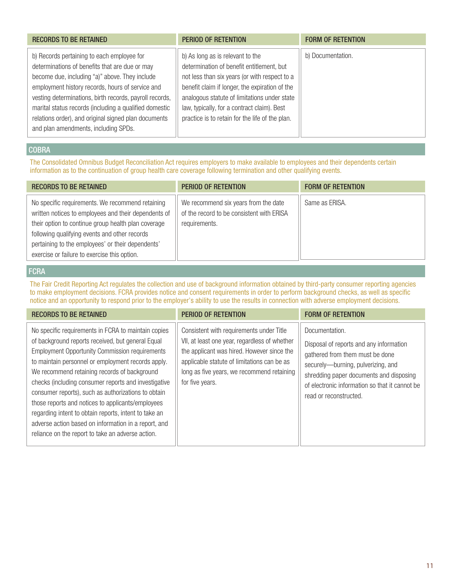| <b>RECORDS TO BE RETAINED</b>                                                                                                                                                                                                                                                                                                                                                                                           | <b>PERIOD OF RETENTION</b>                                                                                                                                                                                                                                                                                                         | <b>FORM OF RETENTION</b> |
|-------------------------------------------------------------------------------------------------------------------------------------------------------------------------------------------------------------------------------------------------------------------------------------------------------------------------------------------------------------------------------------------------------------------------|------------------------------------------------------------------------------------------------------------------------------------------------------------------------------------------------------------------------------------------------------------------------------------------------------------------------------------|--------------------------|
| b) Records pertaining to each employee for<br>determinations of benefits that are due or may<br>become due, including "a)" above. They include<br>employment history records, hours of service and<br>vesting determinations, birth records, payroll records,<br>marital status records (including a qualified domestic<br>relations order), and original signed plan documents<br>and plan amendments, including SPDs. | b) As long as is relevant to the<br>determination of benefit entitlement, but<br>not less than six years (or with respect to a<br>benefit claim if longer, the expiration of the<br>analogous statute of limitations under state<br>law, typically, for a contract claim). Best<br>practice is to retain for the life of the plan. | b) Documentation.        |

### **COBRA**

The Consolidated Omnibus Budget Reconciliation Act requires employers to make available to employees and their dependents certain information as to the continuation of group health care coverage following termination and other qualifying events.

| <b>RECORDS TO BE RETAINED</b>                                                                                                                                                                                                                                                                                         | <b>PERIOD OF RETENTION</b>                                                                         | <b>FORM OF RETENTION</b> |
|-----------------------------------------------------------------------------------------------------------------------------------------------------------------------------------------------------------------------------------------------------------------------------------------------------------------------|----------------------------------------------------------------------------------------------------|--------------------------|
| No specific requirements. We recommend retaining<br>written notices to employees and their dependents of<br>their option to continue group health plan coverage<br>following qualifying events and other records<br>pertaining to the employees' or their dependents'<br>exercise or failure to exercise this option. | We recommend six years from the date<br>of the record to be consistent with ERISA<br>requirements. | Same as ERISA.           |

### FCRA

The Fair Credit Reporting Act regulates the collection and use of background information obtained by third-party consumer reporting agencies to make employment decisions. FCRA provides notice and consent requirements in order to perform background checks, as well as specific notice and an opportunity to respond prior to the employer's ability to use the results in connection with adverse employment decisions.

| <b>RECORDS TO BE RETAINED</b>                                                                                                                                                                                                                                                                                                                                                                                                                                                                                                                                                                                     | <b>PERIOD OF RETENTION</b>                                                                                                                                                                                                                              | <b>FORM OF RETENTION</b>                                                                                                                                                                                                                                  |
|-------------------------------------------------------------------------------------------------------------------------------------------------------------------------------------------------------------------------------------------------------------------------------------------------------------------------------------------------------------------------------------------------------------------------------------------------------------------------------------------------------------------------------------------------------------------------------------------------------------------|---------------------------------------------------------------------------------------------------------------------------------------------------------------------------------------------------------------------------------------------------------|-----------------------------------------------------------------------------------------------------------------------------------------------------------------------------------------------------------------------------------------------------------|
| No specific requirements in FCRA to maintain copies<br>of background reports received, but general Equal<br><b>Employment Opportunity Commission requirements</b><br>to maintain personnel or employment records apply.<br>We recommend retaining records of background<br>checks (including consumer reports and investigative<br>consumer reports), such as authorizations to obtain<br>those reports and notices to applicants/employees<br>regarding intent to obtain reports, intent to take an<br>adverse action based on information in a report, and<br>reliance on the report to take an adverse action. | Consistent with requirements under Title<br>VII, at least one year, regardless of whether<br>the applicant was hired. However since the<br>applicable statute of limitations can be as<br>long as five years, we recommend retaining<br>for five years. | Documentation.<br>Disposal of reports and any information<br>gathered from them must be done<br>securely-burning, pulverizing, and<br>shredding paper documents and disposing<br>of electronic information so that it cannot be<br>read or reconstructed. |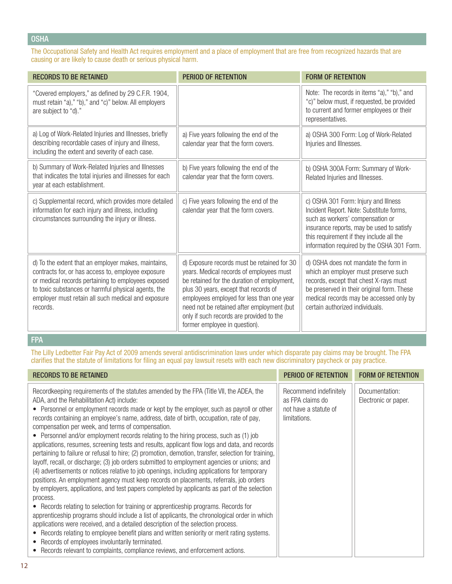# **OSHA**

The Occupational Safety and Health Act requires employment and a place of employment that are free from recognized hazards that are causing or are likely to cause death or serious physical harm.

| <b>RECORDS TO BE RETAINED</b>                                                                                                                                                                                                                                                            | <b>PERIOD OF RETENTION</b>                                                                                                                                                                                                                                                                                                                              | <b>FORM OF RETENTION</b>                                                                                                                                                                                                                                    |
|------------------------------------------------------------------------------------------------------------------------------------------------------------------------------------------------------------------------------------------------------------------------------------------|---------------------------------------------------------------------------------------------------------------------------------------------------------------------------------------------------------------------------------------------------------------------------------------------------------------------------------------------------------|-------------------------------------------------------------------------------------------------------------------------------------------------------------------------------------------------------------------------------------------------------------|
| "Covered employers," as defined by 29 C.F.R. 1904,<br>must retain "a)," "b)," and "c)" below. All employers<br>are subject to "d)."                                                                                                                                                      |                                                                                                                                                                                                                                                                                                                                                         | Note: The records in items "a)," "b)," and<br>"c)" below must, if requested, be provided<br>to current and former employees or their<br>representatives.                                                                                                    |
| a) Log of Work-Related Injuries and Illnesses, briefly<br>describing recordable cases of injury and illness,<br>including the extent and severity of each case.                                                                                                                          | a) Five years following the end of the<br>calendar year that the form covers.                                                                                                                                                                                                                                                                           | a) OSHA 300 Form: Log of Work-Related<br>Injuries and Illnesses.                                                                                                                                                                                            |
| b) Summary of Work-Related Injuries and Illnesses<br>that indicates the total injuries and illnesses for each<br>year at each establishment.                                                                                                                                             | b) Five years following the end of the<br>calendar year that the form covers.                                                                                                                                                                                                                                                                           | b) OSHA 300A Form: Summary of Work-<br>Related Injuries and Illnesses.                                                                                                                                                                                      |
| c) Supplemental record, which provides more detailed<br>information for each injury and illness, including<br>circumstances surrounding the injury or illness.                                                                                                                           | c) Five years following the end of the<br>calendar year that the form covers.                                                                                                                                                                                                                                                                           | c) OSHA 301 Form: Injury and Illness<br>Incident Report. Note: Substitute forms,<br>such as workers' compensation or<br>insurance reports, may be used to satisfy<br>this requirement if they include all the<br>information required by the OSHA 301 Form. |
| d) To the extent that an employer makes, maintains,<br>contracts for, or has access to, employee exposure<br>or medical records pertaining to employees exposed<br>to toxic substances or harmful physical agents, the<br>employer must retain all such medical and exposure<br>records. | d) Exposure records must be retained for 30<br>years. Medical records of employees must<br>be retained for the duration of employment,<br>plus 30 years, except that records of<br>employees employed for less than one year<br>need not be retained after employment (but<br>only if such records are provided to the<br>former employee in question). | d) OSHA does not mandate the form in<br>which an employer must preserve such<br>records, except that chest X-rays must<br>be preserved in their original form. These<br>medical records may be accessed only by<br>certain authorized individuals.          |

# FPA

The Lilly Ledbetter Fair Pay Act of 2009 amends several antidiscrimination laws under which disparate pay claims may be brought. The FPA clarifies that the statute of limitations for filing an equal pay lawsuit resets with each new discriminatory paycheck or pay practice.

| <b>RECORDS TO BE RETAINED</b>                                                                                                                                                                                                                                                                                                                                                                                                                                                                                                                                                                                                                                                                                                                                                                                                                                                                                                                                                                                                                                                                                                                                                                                                                                                                                                                                                                                                                                                                                                                                                                            | <b>PERIOD OF RETENTION</b>                                                          | <b>FORM OF RETENTION</b>               |
|----------------------------------------------------------------------------------------------------------------------------------------------------------------------------------------------------------------------------------------------------------------------------------------------------------------------------------------------------------------------------------------------------------------------------------------------------------------------------------------------------------------------------------------------------------------------------------------------------------------------------------------------------------------------------------------------------------------------------------------------------------------------------------------------------------------------------------------------------------------------------------------------------------------------------------------------------------------------------------------------------------------------------------------------------------------------------------------------------------------------------------------------------------------------------------------------------------------------------------------------------------------------------------------------------------------------------------------------------------------------------------------------------------------------------------------------------------------------------------------------------------------------------------------------------------------------------------------------------------|-------------------------------------------------------------------------------------|----------------------------------------|
| Recordkeeping requirements of the statutes amended by the FPA (Title VII, the ADEA, the<br>ADA, and the Rehabilitation Act) include:<br>• Personnel or employment records made or kept by the employer, such as payroll or other<br>records containing an employee's name, address, date of birth, occupation, rate of pay,<br>compensation per week, and terms of compensation.<br>• Personnel and/or employment records relating to the hiring process, such as (1) job<br>applications, resumes, screening tests and results, applicant flow logs and data, and records<br>pertaining to failure or refusal to hire; (2) promotion, demotion, transfer, selection for training,<br>layoff, recall, or discharge; (3) job orders submitted to employment agencies or unions; and<br>(4) advertisements or notices relative to job openings, including applications for temporary<br>positions. An employment agency must keep records on placements, referrals, job orders<br>by employers, applications, and test papers completed by applicants as part of the selection<br>process.<br>• Records relating to selection for training or apprenticeship programs. Records for<br>apprenticeship programs should include a list of applicants, the chronological order in which<br>applications were received, and a detailed description of the selection process.<br>• Records relating to employee benefit plans and written seniority or merit rating systems.<br>• Records of employees involuntarily terminated.<br>Records relevant to complaints, compliance reviews, and enforcement actions. | Recommend indefinitely<br>as FPA claims do<br>not have a statute of<br>limitations. | Documentation:<br>Electronic or paper. |